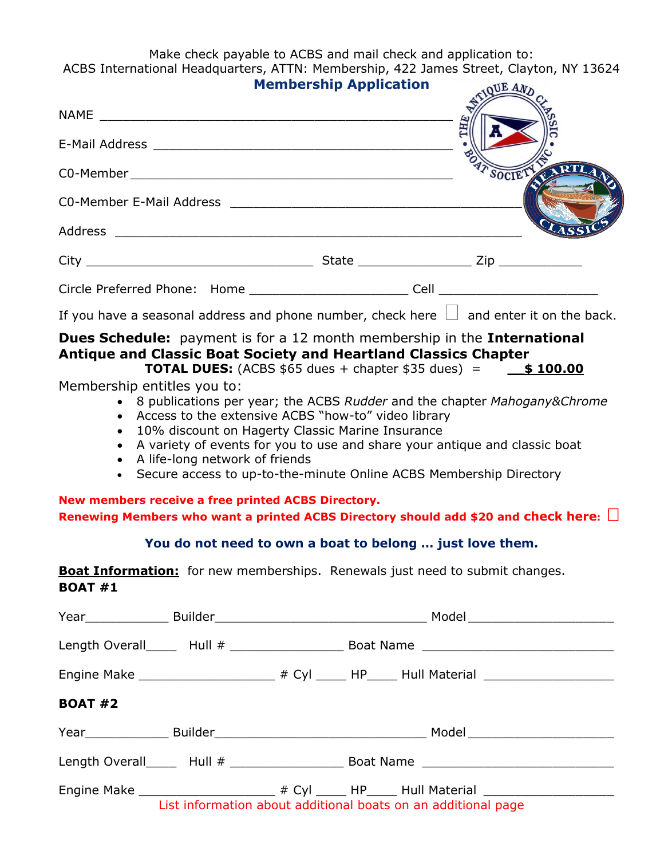Make check payable to ACBS and mail check and application to: ACBS International Headquarters, ATTN: Membership, 422 James Street, Clayton, NY 13624

|                        |                                  | <b>Membership Application</b>                                                                                                                                                                                                                                                                                                                                                                                                                                            | <b>OUE AND</b>                                                                                       |
|------------------------|----------------------------------|--------------------------------------------------------------------------------------------------------------------------------------------------------------------------------------------------------------------------------------------------------------------------------------------------------------------------------------------------------------------------------------------------------------------------------------------------------------------------|------------------------------------------------------------------------------------------------------|
|                        |                                  |                                                                                                                                                                                                                                                                                                                                                                                                                                                                          | THE                                                                                                  |
|                        |                                  |                                                                                                                                                                                                                                                                                                                                                                                                                                                                          |                                                                                                      |
|                        |                                  |                                                                                                                                                                                                                                                                                                                                                                                                                                                                          | SOCIET                                                                                               |
|                        |                                  |                                                                                                                                                                                                                                                                                                                                                                                                                                                                          |                                                                                                      |
|                        |                                  |                                                                                                                                                                                                                                                                                                                                                                                                                                                                          |                                                                                                      |
|                        |                                  |                                                                                                                                                                                                                                                                                                                                                                                                                                                                          |                                                                                                      |
|                        |                                  |                                                                                                                                                                                                                                                                                                                                                                                                                                                                          |                                                                                                      |
|                        |                                  |                                                                                                                                                                                                                                                                                                                                                                                                                                                                          | If you have a seasonal address and phone number, check here $\Box$ and enter it on the back.         |
| $\bullet$<br>$\bullet$ | • A life-long network of friends | • Access to the extensive ACBS "how-to" video library<br>10% discount on Hagerty Classic Marine Insurance<br>A variety of events for you to use and share your antique and classic boat<br>• Secure access to up-to-the-minute Online ACBS Membership Directory<br>New members receive a free printed ACBS Directory.<br>You do not need to own a boat to belong  just love them.<br><b>Boat Information:</b> for new memberships. Renewals just need to submit changes. | Renewing Members who want a printed ACBS Directory should add \$20 and check here: $\Box$            |
| <b>BOAT #1</b>         |                                  |                                                                                                                                                                                                                                                                                                                                                                                                                                                                          |                                                                                                      |
|                        |                                  |                                                                                                                                                                                                                                                                                                                                                                                                                                                                          |                                                                                                      |
|                        |                                  |                                                                                                                                                                                                                                                                                                                                                                                                                                                                          | Length Overall______ Hull # _____________________________Boat Name _________________________________ |
|                        |                                  |                                                                                                                                                                                                                                                                                                                                                                                                                                                                          | Engine Make ______________________________# Cyl ______ HP______ Hull Material ______________________ |
| <b>BOAT #2</b>         |                                  |                                                                                                                                                                                                                                                                                                                                                                                                                                                                          |                                                                                                      |
|                        |                                  |                                                                                                                                                                                                                                                                                                                                                                                                                                                                          |                                                                                                      |
|                        |                                  |                                                                                                                                                                                                                                                                                                                                                                                                                                                                          | Length Overall______ Hull # _____________________________Boat Name _________________________________ |

Engine Make \_\_\_\_\_\_\_\_\_\_\_\_\_\_\_\_\_\_\_\_\_\_ # Cyl \_\_\_\_\_ HP\_\_\_\_\_ Hull Material \_\_\_\_\_\_\_\_\_\_\_\_ List information about additional boats on an additional page